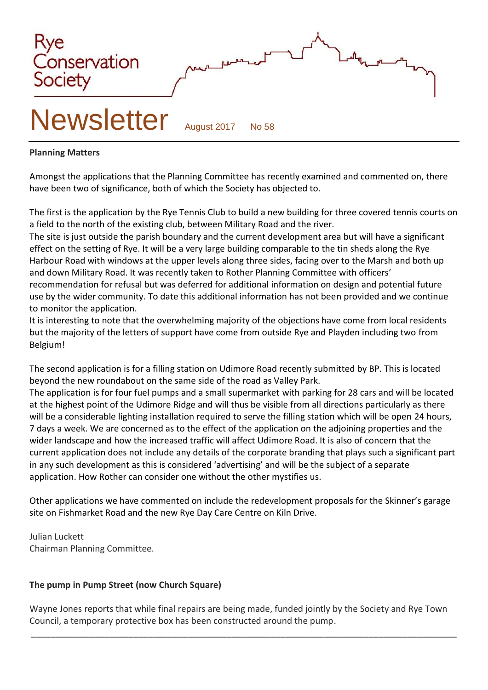

#### **Planning Matters**

Amongst the applications that the Planning Committee has recently examined and commented on, there have been two of significance, both of which the Society has objected to.

The first is the application by the Rye Tennis Club to build a new building for three covered tennis courts on a field to the north of the existing club, between Military Road and the river.

The site is just outside the parish boundary and the current development area but will have a significant effect on the setting of Rye. It will be a very large building comparable to the tin sheds along the Rye Harbour Road with windows at the upper levels along three sides, facing over to the Marsh and both up and down Military Road. It was recently taken to Rother Planning Committee with officers' recommendation for refusal but was deferred for additional information on design and potential future use by the wider community. To date this additional information has not been provided and we continue to monitor the application.

It is interesting to note that the overwhelming majority of the objections have come from local residents but the majority of the letters of support have come from outside Rye and Playden including two from Belgium!

The second application is for a filling station on Udimore Road recently submitted by BP. This is located beyond the new roundabout on the same side of the road as Valley Park.

The application is for four fuel pumps and a small supermarket with parking for 28 cars and will be located at the highest point of the Udimore Ridge and will thus be visible from all directions particularly as there will be a considerable lighting installation required to serve the filling station which will be open 24 hours, 7 days a week. We are concerned as to the effect of the application on the adjoining properties and the wider landscape and how the increased traffic will affect Udimore Road. It is also of concern that the current application does not include any details of the corporate branding that plays such a significant part in any such development as this is considered 'advertising' and will be the subject of a separate application. How Rother can consider one without the other mystifies us.

Other applications we have commented on include the redevelopment proposals for the Skinner's garage site on Fishmarket Road and the new Rye Day Care Centre on Kiln Drive.

Julian Luckett Chairman Planning Committee.

## **The pump in Pump Street (now Church Square)**

Wayne Jones reports that while final repairs are being made, funded jointly by the Society and Rye Town Council, a temporary protective box has been constructed around the pump.

\_\_\_\_\_\_\_\_\_\_\_\_\_\_\_\_\_\_\_\_\_\_\_\_\_\_\_\_\_\_\_\_\_\_\_\_\_\_\_\_\_\_\_\_\_\_\_\_\_\_\_\_\_\_\_\_\_\_\_\_\_\_\_\_\_\_\_\_\_\_\_\_\_\_\_\_\_\_\_\_\_\_\_\_\_\_\_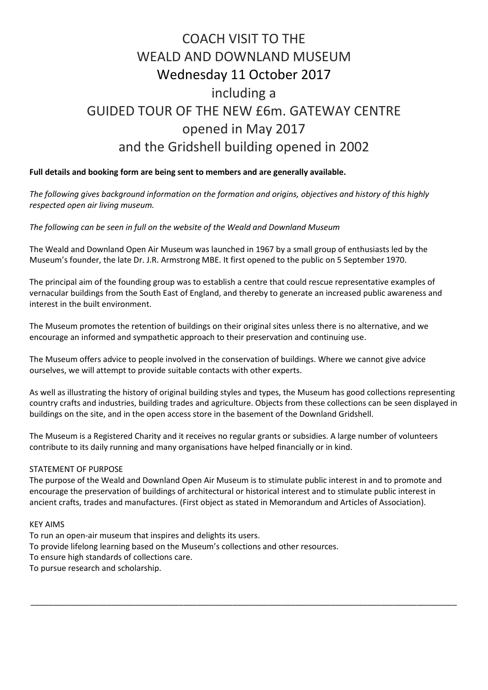# COACH VISIT TO THE WEALD AND DOWNLAND MUSEUM Wednesday 11 October 2017 including a GUIDED TOUR OF THE NEW £6m. GATEWAY CENTRE opened in May 2017 and the Gridshell building opened in 2002

#### **Full details and booking form are being sent to members and are generally available.**

*The following gives background information on the formation and origins, objectives and history of this highly respected open air living museum.*

*The following can be seen in full on the website of the Weald and Downland Museum*

The Weald and Downland Open Air Museum was launched in 1967 by a small group of enthusiasts led by the Museum's founder, the late Dr. J.R. Armstrong MBE. It first opened to the public on 5 September 1970.

The principal aim of the founding group was to establish a centre that could rescue representative examples of vernacular buildings from the South East of England, and thereby to generate an increased public awareness and interest in the built environment.

The Museum promotes the retention of buildings on their original sites unless there is no alternative, and we encourage an informed and sympathetic approach to their preservation and continuing use.

The Museum offers advice to people involved in the conservation of buildings. Where we cannot give advice ourselves, we will attempt to provide suitable contacts with other experts.

As well as illustrating the history of original building styles and types, the Museum has good collections representing country crafts and industries, building trades and agriculture. Objects from these collections can be seen displayed in buildings on the site, and in the open access store in the basement of the [Downland Gridshell.](http://www.wealddown.co.uk/explore/collections/)

The Museum is a Registered Charity and it receives no regular grants or subsidies. A large number of [volunteers](http://www.wealddown.co.uk/get-involved/volunteer/) contribute to its daily running and many organisations have helped financially or in kind.

#### STATEMENT OF PURPOSE

The purpose of the Weald and Downland Open Air Museum is to stimulate public interest in and to promote and encourage the preservation of buildings of architectural or historical interest and to stimulate public interest in ancient crafts, trades and manufactures. (First object as stated in Memorandum and Articles of Association).

\_\_\_\_\_\_\_\_\_\_\_\_\_\_\_\_\_\_\_\_\_\_\_\_\_\_\_\_\_\_\_\_\_\_\_\_\_\_\_\_\_\_\_\_\_\_\_\_\_\_\_\_\_\_\_\_\_\_\_\_\_\_\_\_\_\_\_\_\_\_\_\_\_\_\_\_\_\_\_\_\_\_\_\_\_\_\_\_\_\_\_\_\_\_\_

#### KEY AIMS

To run an open-air museum that inspires and delights its users. To provide lifelong learning based on the Museum's collections and other resources. To ensure high standards of collections care. To pursue research and scholarship.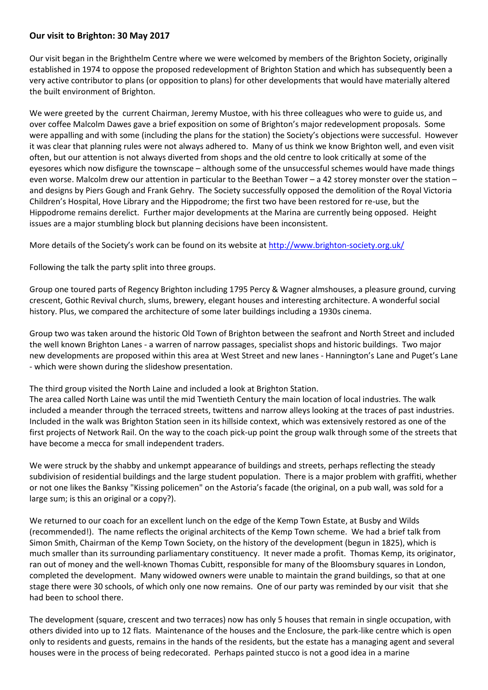#### **Our visit to Brighton: 30 May 2017**

Our visit began in the Brighthelm Centre where we were welcomed by members of the Brighton Society, originally established in 1974 to oppose the proposed redevelopment of Brighton Station and which has subsequently been a very active contributor to plans (or opposition to plans) for other developments that would have materially altered the built environment of Brighton.

We were greeted by the current Chairman, Jeremy Mustoe, with his three colleagues who were to guide us, and over coffee Malcolm Dawes gave a brief exposition on some of Brighton's major redevelopment proposals. Some were appalling and with some (including the plans for the station) the Society's objections were successful. However it was clear that planning rules were not always adhered to. Many of us think we know Brighton well, and even visit often, but our attention is not always diverted from shops and the old centre to look critically at some of the eyesores which now disfigure the townscape – although some of the unsuccessful schemes would have made things even worse. Malcolm drew our attention in particular to the Beethan Tower – a 42 storey monster over the station – and designs by Piers Gough and Frank Gehry. The Society successfully opposed the demolition of the Royal Victoria Children's Hospital, Hove Library and the Hippodrome; the first two have been restored for re-use, but the Hippodrome remains derelict. Further major developments at the Marina are currently being opposed. Height issues are a major stumbling block but planning decisions have been inconsistent.

More details of the Society's work can be found on its website at <http://www.brighton-society.org.uk/>

Following the talk the party split into three groups.

Group one toured parts of Regency Brighton including 1795 Percy & Wagner almshouses, a pleasure ground, curving crescent, Gothic Revival church, slums, brewery, elegant houses and interesting architecture. A wonderful social history. Plus, we compared the architecture of some later buildings including a 1930s cinema.

Group two was taken around the historic Old Town of Brighton between the seafront and North Street and included the well known Brighton Lanes - a warren of narrow passages, specialist shops and historic buildings. Two major new developments are proposed within this area at West Street and new lanes - Hannington's Lane and Puget's Lane - which were shown during the slideshow presentation.

The third group visited the North Laine and included a look at Brighton Station.

The area called North Laine was until the mid Twentieth Century the main location of local industries. The walk included a meander through the terraced streets, twittens and narrow alleys looking at the traces of past industries. Included in the walk was Brighton Station seen in its hillside context, which was extensively restored as one of the first projects of Network Rail. On the way to the coach pick-up point the group walk through some of the streets that have become a mecca for small independent traders.

We were struck by the shabby and unkempt appearance of buildings and streets, perhaps reflecting the steady subdivision of residential buildings and the large student population. There is a major problem with graffiti, whether or not one likes the Banksy "Kissing policemen" on the Astoria's facade (the original, on a pub wall, was sold for a large sum; is this an original or a copy?).

We returned to our coach for an excellent lunch on the edge of the Kemp Town Estate, at Busby and Wilds (recommended!). The name reflects the original architects of the Kemp Town scheme. We had a brief talk from Simon Smith, Chairman of the Kemp Town Society, on the history of the development (begun in 1825), which is much smaller than its surrounding parliamentary constituency. It never made a profit. Thomas Kemp, its originator, ran out of money and the well-known Thomas Cubitt, responsible for many of the Bloomsbury squares in London, completed the development. Many widowed owners were unable to maintain the grand buildings, so that at one stage there were 30 schools, of which only one now remains. One of our party was reminded by our visit that she had been to school there.

The development (square, crescent and two terraces) now has only 5 houses that remain in single occupation, with others divided into up to 12 flats. Maintenance of the houses and the Enclosure, the park-like centre which is open only to residents and guests, remains in the hands of the residents, but the estate has a managing agent and several houses were in the process of being redecorated. Perhaps painted stucco is not a good idea in a marine